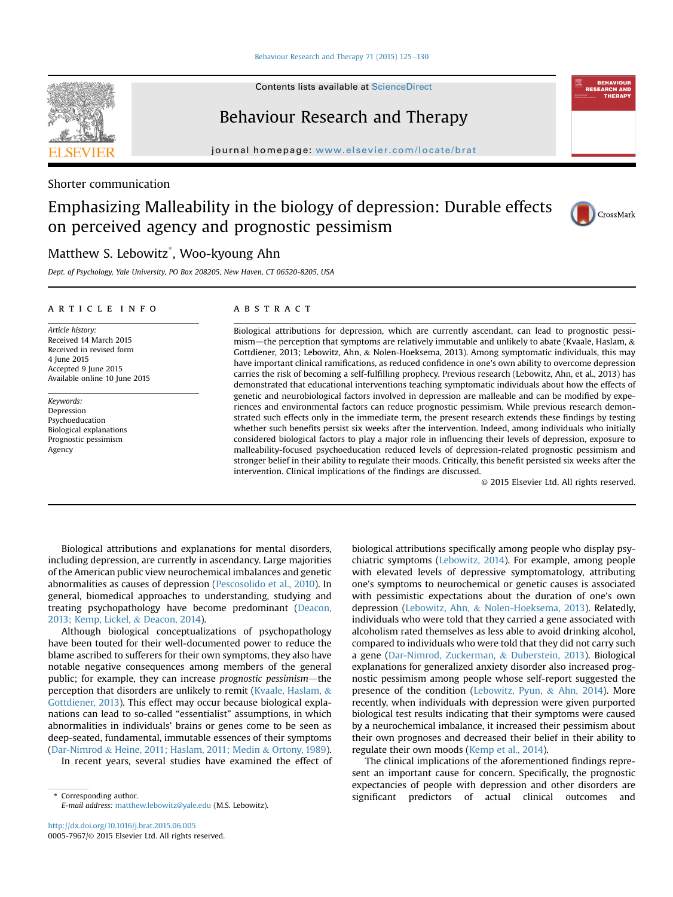[Behaviour Research and Therapy 71 \(2015\) 125](http://dx.doi.org/10.1016/j.brat.2015.06.005)-[130](http://dx.doi.org/10.1016/j.brat.2015.06.005)

Contents lists available at ScienceDirect

# Behaviour Research and Therapy

journal homepage: [www.elsevier.com/locate/brat](http://www.elsevier.com/locate/brat)

## Shorter communication

# Emphasizing Malleability in the biology of depression: Durable effects on perceived agency and prognostic pessimism



Dept. of Psychology, Yale University, PO Box 208205, New Haven, CT 06520-8205, USA

## article info

Article history: Received 14 March 2015 Received in revised form 4 June 2015 Accepted 9 June 2015 Available online 10 June 2015

Keywords: Depression Psychoeducation Biological explanations Prognostic pessimism Agency

## **ABSTRACT**

Biological attributions for depression, which are currently ascendant, can lead to prognostic pessimism—the perception that symptoms are relatively immutable and unlikely to abate (Kvaale, Haslam,  $\&$ Gottdiener, 2013; Lebowitz, Ahn, & Nolen-Hoeksema, 2013). Among symptomatic individuals, this may have important clinical ramifications, as reduced confidence in one's own ability to overcome depression carries the risk of becoming a self-fulfilling prophecy. Previous research (Lebowitz, Ahn, et al., 2013) has demonstrated that educational interventions teaching symptomatic individuals about how the effects of genetic and neurobiological factors involved in depression are malleable and can be modified by experiences and environmental factors can reduce prognostic pessimism. While previous research demonstrated such effects only in the immediate term, the present research extends these findings by testing whether such benefits persist six weeks after the intervention. Indeed, among individuals who initially considered biological factors to play a major role in influencing their levels of depression, exposure to malleability-focused psychoeducation reduced levels of depression-related prognostic pessimism and stronger belief in their ability to regulate their moods. Critically, this benefit persisted six weeks after the intervention. Clinical implications of the findings are discussed.

© 2015 Elsevier Ltd. All rights reserved.

Biological attributions and explanations for mental disorders, including depression, are currently in ascendancy. Large majorities of the American public view neurochemical imbalances and genetic abnormalities as causes of depression [\(Pescosolido et al., 2010\)](#page-5-0). In general, biomedical approaches to understanding, studying and treating psychopathology have become predominant ([Deacon,](#page-4-0) [2013; Kemp, Lickel,](#page-4-0) & [Deacon, 2014\)](#page-4-0).

Although biological conceptualizations of psychopathology have been touted for their well-documented power to reduce the blame ascribed to sufferers for their own symptoms, they also have notable negative consequences among members of the general public; for example, they can increase prognostic pessimism—the perception that disorders are unlikely to remit [\(Kvaale, Haslam,](#page-4-0) & [Gottdiener, 2013\)](#page-4-0). This effect may occur because biological explanations can lead to so-called "essentialist" assumptions, in which abnormalities in individuals' brains or genes come to be seen as deep-seated, fundamental, immutable essences of their symptoms ([Dar-Nimrod](#page-4-0) & [Heine, 2011; Haslam, 2011; Medin](#page-4-0) & [Ortony, 1989\)](#page-4-0).

In recent years, several studies have examined the effect of

E-mail address: [matthew.lebowitz@yale.edu](mailto:matthew.lebowitz@yale.edu) (M.S. Lebowitz).

biological attributions specifically among people who display psychiatric symptoms ([Lebowitz, 2014\)](#page-4-0). For example, among people with elevated levels of depressive symptomatology, attributing one's symptoms to neurochemical or genetic causes is associated with pessimistic expectations about the duration of one's own depression ([Lebowitz, Ahn,](#page-4-0) & [Nolen-Hoeksema, 2013\)](#page-4-0). Relatedly, individuals who were told that they carried a gene associated with alcoholism rated themselves as less able to avoid drinking alcohol, compared to individuals who were told that they did not carry such a gene ([Dar-Nimrod, Zuckerman,](#page-4-0) & [Duberstein, 2013\)](#page-4-0). Biological explanations for generalized anxiety disorder also increased prognostic pessimism among people whose self-report suggested the presence of the condition [\(Lebowitz, Pyun,](#page-4-0) & [Ahn, 2014\)](#page-4-0). More recently, when individuals with depression were given purported biological test results indicating that their symptoms were caused by a neurochemical imbalance, it increased their pessimism about their own prognoses and decreased their belief in their ability to regulate their own moods [\(Kemp et al., 2014\)](#page-4-0).

The clinical implications of the aforementioned findings represent an important cause for concern. Specifically, the prognostic expectancies of people with depression and other disorders are \* Corresponding author. significant predictors of actual clinical outcomes and



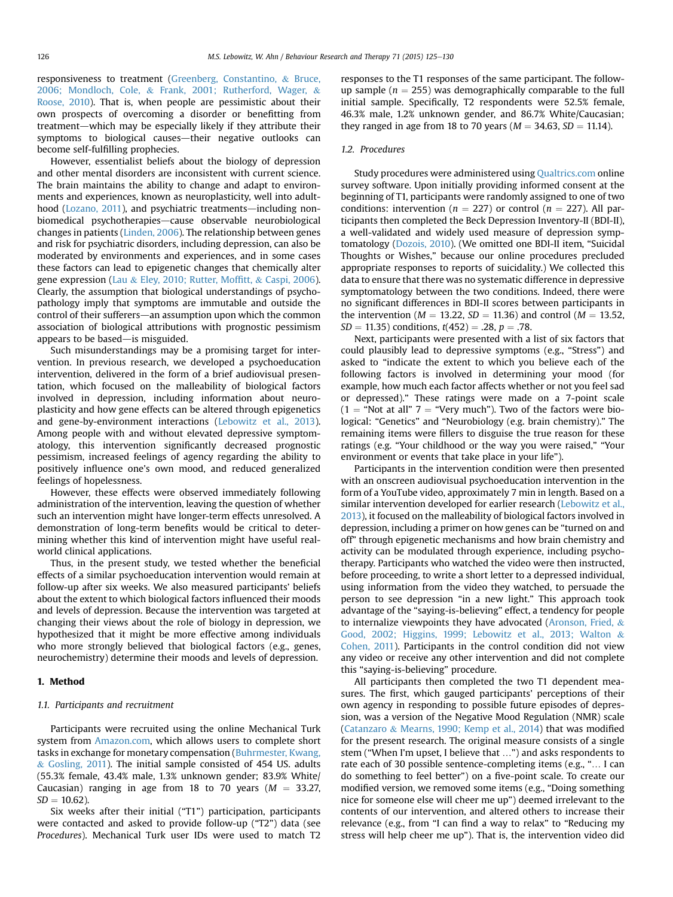responsiveness to treatment ([Greenberg, Constantino,](#page-4-0) & [Bruce,](#page-4-0) [2006; Mondloch, Cole,](#page-4-0) & [Frank, 2001; Rutherford, Wager,](#page-4-0) & [Roose, 2010](#page-4-0)). That is, when people are pessimistic about their own prospects of overcoming a disorder or benefitting from treatment-which may be especially likely if they attribute their symptoms to biological causes—their negative outlooks can become self-fulfilling prophecies.

However, essentialist beliefs about the biology of depression and other mental disorders are inconsistent with current science. The brain maintains the ability to change and adapt to environments and experiences, known as neuroplasticity, well into adult-hood [\(Lozano, 2011\)](#page-5-0), and psychiatric treatments—including nonbiomedical psychotherapies-cause observable neurobiological changes in patients [\(Linden, 2006](#page-5-0)). The relationship between genes and risk for psychiatric disorders, including depression, can also be moderated by environments and experiences, and in some cases these factors can lead to epigenetic changes that chemically alter gene expression ([Lau](#page-4-0) & [Eley, 2010; Rutter, Mof](#page-4-0)fitt, & [Caspi, 2006\)](#page-4-0). Clearly, the assumption that biological understandings of psychopathology imply that symptoms are immutable and outside the control of their sufferers-an assumption upon which the common association of biological attributions with prognostic pessimism appears to be based—is misguided.

Such misunderstandings may be a promising target for intervention. In previous research, we developed a psychoeducation intervention, delivered in the form of a brief audiovisual presentation, which focused on the malleability of biological factors involved in depression, including information about neuroplasticity and how gene effects can be altered through epigenetics and gene-by-environment interactions [\(Lebowitz et al., 2013\)](#page-4-0). Among people with and without elevated depressive symptomatology, this intervention significantly decreased prognostic pessimism, increased feelings of agency regarding the ability to positively influence one's own mood, and reduced generalized feelings of hopelessness.

However, these effects were observed immediately following administration of the intervention, leaving the question of whether such an intervention might have longer-term effects unresolved. A demonstration of long-term benefits would be critical to determining whether this kind of intervention might have useful realworld clinical applications.

Thus, in the present study, we tested whether the beneficial effects of a similar psychoeducation intervention would remain at follow-up after six weeks. We also measured participants' beliefs about the extent to which biological factors influenced their moods and levels of depression. Because the intervention was targeted at changing their views about the role of biology in depression, we hypothesized that it might be more effective among individuals who more strongly believed that biological factors (e.g., genes, neurochemistry) determine their moods and levels of depression.

## 1. Method

### 1.1. Participants and recruitment

Participants were recruited using the online Mechanical Turk system from [Amazon.com,](http://Amazon.com) which allows users to complete short tasks in exchange for monetary compensation ([Buhrmester, Kwang,](#page-4-0)  $&$  [Gosling, 2011\)](#page-4-0). The initial sample consisted of 454 US. adults (55.3% female, 43.4% male, 1.3% unknown gender; 83.9% White/ Caucasian) ranging in age from 18 to 70 years ( $M = 33.27$ ,  $SD = 10.62$ ).

Six weeks after their initial ("T1") participation, participants were contacted and asked to provide follow-up ("T2") data (see Procedures). Mechanical Turk user IDs were used to match T2 responses to the T1 responses of the same participant. The followup sample ( $n = 255$ ) was demographically comparable to the full initial sample. Specifically, T2 respondents were 52.5% female, 46.3% male, 1.2% unknown gender, and 86.7% White/Caucasian; they ranged in age from 18 to 70 years ( $M = 34.63$ ,  $SD = 11.14$ ).

## 1.2. Procedures

Study procedures were administered using [Qualtrics.com](http://Qualtrics.com) online survey software. Upon initially providing informed consent at the beginning of T1, participants were randomly assigned to one of two conditions: intervention ( $n = 227$ ) or control ( $n = 227$ ). All participants then completed the Beck Depression Inventory-II (BDI-II), a well-validated and widely used measure of depression symptomatology ([Dozois, 2010\)](#page-4-0). (We omitted one BDI-II item, "Suicidal Thoughts or Wishes," because our online procedures precluded appropriate responses to reports of suicidality.) We collected this data to ensure that there was no systematic difference in depressive symptomatology between the two conditions. Indeed, there were no significant differences in BDI-II scores between participants in the intervention ( $M = 13.22$ ,  $SD = 11.36$ ) and control ( $M = 13.52$ ,  $SD = 11.35$ ) conditions,  $t(452) = .28$ ,  $p = .78$ .

Next, participants were presented with a list of six factors that could plausibly lead to depressive symptoms (e.g., "Stress") and asked to "indicate the extent to which you believe each of the following factors is involved in determining your mood (for example, how much each factor affects whether or not you feel sad or depressed)." These ratings were made on a 7-point scale  $(1 = "Not at all" 7 = "Very much"). Two of the factors were bio$ logical: "Genetics" and "Neurobiology (e.g. brain chemistry)." The remaining items were fillers to disguise the true reason for these ratings (e.g. "Your childhood or the way you were raised," "Your environment or events that take place in your life").

Participants in the intervention condition were then presented with an onscreen audiovisual psychoeducation intervention in the form of a YouTube video, approximately 7 min in length. Based on a similar intervention developed for earlier research ([Lebowitz et al.,](#page-4-0) [2013\)](#page-4-0), it focused on the malleability of biological factors involved in depression, including a primer on how genes can be "turned on and off" through epigenetic mechanisms and how brain chemistry and activity can be modulated through experience, including psychotherapy. Participants who watched the video were then instructed, before proceeding, to write a short letter to a depressed individual, using information from the video they watched, to persuade the person to see depression "in a new light." This approach took advantage of the "saying-is-believing" effect, a tendency for people to internalize viewpoints they have advocated ([Aronson, Fried,](#page-4-0) & [Good, 2002; Higgins, 1999; Lebowitz et al., 2013; Walton](#page-4-0) & [Cohen, 2011](#page-4-0)). Participants in the control condition did not view any video or receive any other intervention and did not complete this "saying-is-believing" procedure.

All participants then completed the two T1 dependent measures. The first, which gauged participants' perceptions of their own agency in responding to possible future episodes of depression, was a version of the Negative Mood Regulation (NMR) scale ([Catanzaro](#page-4-0) & [Mearns, 1990; Kemp et al., 2014](#page-4-0)) that was modified for the present research. The original measure consists of a single stem ("When I'm upset, I believe that …") and asks respondents to rate each of 30 possible sentence-completing items (e.g., "… I can do something to feel better") on a five-point scale. To create our modified version, we removed some items (e.g., "Doing something nice for someone else will cheer me up") deemed irrelevant to the contents of our intervention, and altered others to increase their relevance (e.g., from "I can find a way to relax" to "Reducing my stress will help cheer me up"). That is, the intervention video did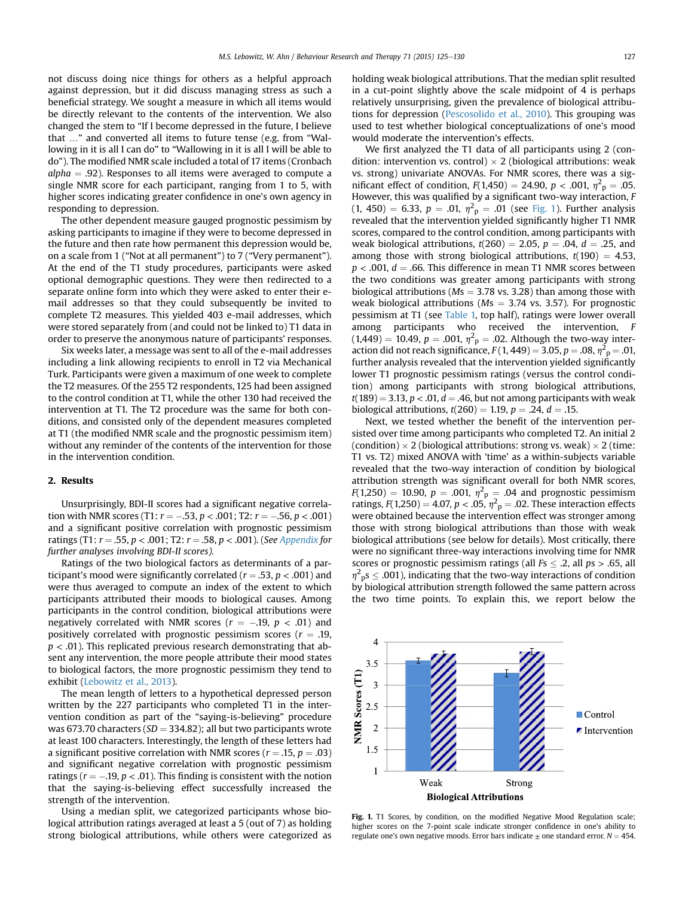not discuss doing nice things for others as a helpful approach against depression, but it did discuss managing stress as such a beneficial strategy. We sought a measure in which all items would be directly relevant to the contents of the intervention. We also changed the stem to "If I become depressed in the future, I believe that …" and converted all items to future tense (e.g. from "Wallowing in it is all I can do" to "Wallowing in it is all I will be able to do"). The modified NMR scale included a total of 17 items (Cronbach  $alpha = .92$ ). Responses to all items were averaged to compute a single NMR score for each participant, ranging from 1 to 5, with higher scores indicating greater confidence in one's own agency in responding to depression.

The other dependent measure gauged prognostic pessimism by asking participants to imagine if they were to become depressed in the future and then rate how permanent this depression would be, on a scale from 1 ("Not at all permanent") to 7 ("Very permanent"). At the end of the T1 study procedures, participants were asked optional demographic questions. They were then redirected to a separate online form into which they were asked to enter their email addresses so that they could subsequently be invited to complete T2 measures. This yielded 403 e-mail addresses, which were stored separately from (and could not be linked to) T1 data in order to preserve the anonymous nature of participants' responses.

Six weeks later, a message was sent to all of the e-mail addresses including a link allowing recipients to enroll in T2 via Mechanical Turk. Participants were given a maximum of one week to complete the T2 measures. Of the 255 T2 respondents, 125 had been assigned to the control condition at T1, while the other 130 had received the intervention at T1. The T2 procedure was the same for both conditions, and consisted only of the dependent measures completed at T1 (the modified NMR scale and the prognostic pessimism item) without any reminder of the contents of the intervention for those in the intervention condition.

#### 2. Results

Unsurprisingly, BDI-II scores had a significant negative correlation with NMR scores (T1:  $r = -.53$ ,  $p < .001$ ; T2:  $r = -.56$ ,  $p < .001$ ) and a significant positive correlation with prognostic pessimism ratings (T1:  $r = .55$ ,  $p < .001$ ; T2:  $r = .58$ ,  $p < .001$ ). (See [Appendix](#page-4-0) for further analyses involving BDI-II scores).

Ratings of the two biological factors as determinants of a participant's mood were significantly correlated ( $r = .53$ ,  $p < .001$ ) and were thus averaged to compute an index of the extent to which participants attributed their moods to biological causes. Among participants in the control condition, biological attributions were negatively correlated with NMR scores ( $r = -.19$ ,  $p < .01$ ) and positively correlated with prognostic pessimism scores ( $r = .19$ ,  $p < .01$ ). This replicated previous research demonstrating that absent any intervention, the more people attribute their mood states to biological factors, the more prognostic pessimism they tend to exhibit [\(Lebowitz et al., 2013\)](#page-4-0).

The mean length of letters to a hypothetical depressed person written by the 227 participants who completed T1 in the intervention condition as part of the "saying-is-believing" procedure was 673.70 characters ( $SD = 334.82$ ); all but two participants wrote at least 100 characters. Interestingly, the length of these letters had a significant positive correlation with NMR scores ( $r = .15$ ,  $p = .03$ ) and significant negative correlation with prognostic pessimism ratings ( $r = -.19$ ,  $p < .01$ ). This finding is consistent with the notion that the saying-is-believing effect successfully increased the strength of the intervention.

Using a median split, we categorized participants whose biological attribution ratings averaged at least a 5 (out of 7) as holding strong biological attributions, while others were categorized as holding weak biological attributions. That the median split resulted in a cut-point slightly above the scale midpoint of 4 is perhaps relatively unsurprising, given the prevalence of biological attributions for depression [\(Pescosolido et al., 2010\)](#page-5-0). This grouping was used to test whether biological conceptualizations of one's mood would moderate the intervention's effects.

We first analyzed the T1 data of all participants using 2 (condition: intervention vs. control)  $\times$  2 (biological attributions: weak vs. strong) univariate ANOVAs. For NMR scores, there was a significant effect of condition,  $F(1,450) = 24.90$ ,  $p < .001$ ,  $\eta^2 p = .05$ . However, this was qualified by a significant two-way interaction, F  $(1, 450) = 6.33, p = .01, \eta^2$ <sub>p</sub> = .01 (see Fig. 1). Further analysis revealed that the intervention yielded significantly higher T1 NMR scores, compared to the control condition, among participants with weak biological attributions,  $t(260) = 2.05$ ,  $p = .04$ ,  $d = .25$ , and among those with strong biological attributions,  $t(190) = 4.53$ ,  $p < .001$ ,  $d = .66$ . This difference in mean T1 NMR scores between the two conditions was greater among participants with strong biological attributions ( $Ms = 3.78$  vs. 3.28) than among those with weak biological attributions ( $Ms = 3.74$  vs. 3.57). For prognostic pessimism at T1 (see [Table 1,](#page-3-0) top half), ratings were lower overall among participants who received the intervention, F  $(1,449) = 10.49, p = .001, \eta^2$ <sub>p</sub> = .02. Although the two-way interaction did not reach significance,  $F(1, 449) = 3.05$ ,  $p = .08$ ,  $\eta^2 p = .01$ . further analysis revealed that the intervention yielded significantly lower T1 prognostic pessimism ratings (versus the control condition) among participants with strong biological attributions,  $t(189) = 3.13$ ,  $p < .01$ ,  $d = .46$ , but not among participants with weak biological attributions,  $t(260) = 1.19$ ,  $p = .24$ ,  $d = .15$ .

Next, we tested whether the benefit of the intervention persisted over time among participants who completed T2. An initial 2 (condition)  $\times$  2 (biological attributions: strong vs. weak)  $\times$  2 (time: T1 vs. T2) mixed ANOVA with 'time' as a within-subjects variable revealed that the two-way interaction of condition by biological attribution strength was significant overall for both NMR scores,  $F(1,250) = 10.90, p = .001, \eta^2 p = .04$  and prognostic pessimism ratings,  $F(1,250) = 4.07$ ,  $p < .05$ ,  $\eta^2$ <sub>p</sub> = .02. These interaction effects were obtained because the intervention effect was stronger among those with strong biological attributions than those with weak biological attributions (see below for details). Most critically, there were no significant three-way interactions involving time for NMR scores or prognostic pessimism ratings (all  $Fs \leq .2$ , all  $ps > .65$ , all  $\eta^2$ <sub>p</sub>s  $\leq$  .001), indicating that the two-way interactions of condition by biological attribution strength followed the same pattern across the two time points. To explain this, we report below the



Fig. 1. T1 Scores, by condition, on the modified Negative Mood Regulation scale; higher scores on the 7-point scale indicate stronger confidence in one's ability to regulate one's own negative moods. Error bars indicate  $\pm$  one standard error.  $N = 454$ .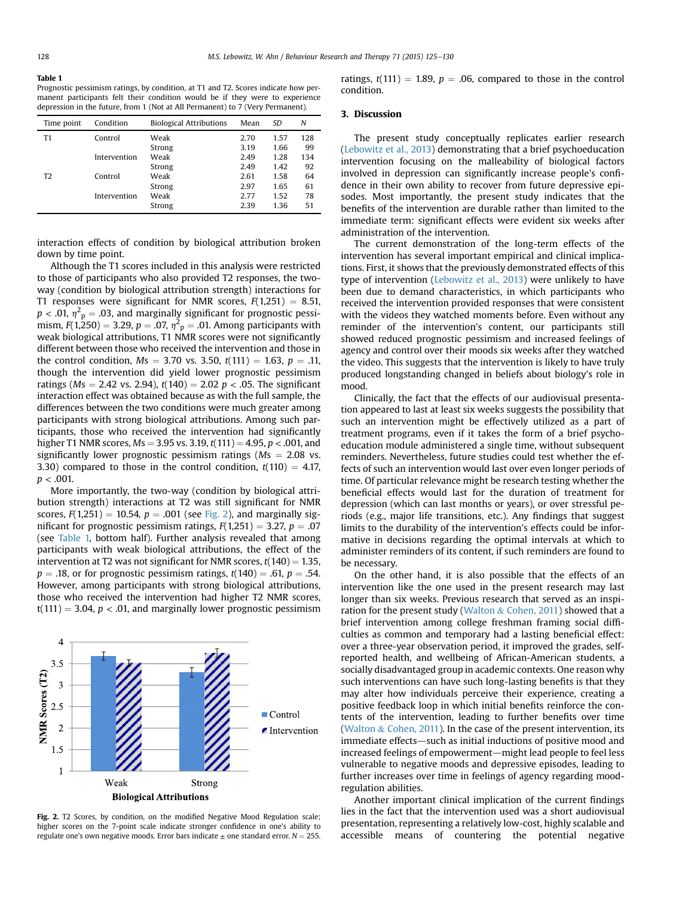#### <span id="page-3-0"></span>Table 1

Prognostic pessimism ratings, by condition, at T1 and T2. Scores indicate how permanent participants felt their condition would be if they were to experience depression in the future, from 1 (Not at All Permanent) to 7 (Very Permanent).

| Time point     | Condition    | <b>Biological Attributions</b> | Mean | SD   | N   |
|----------------|--------------|--------------------------------|------|------|-----|
| T1             | Control      | Weak                           | 2.70 | 1.57 | 128 |
|                |              | Strong                         | 3.19 | 1.66 | 99  |
|                | Intervention | Weak                           | 2.49 | 1.28 | 134 |
|                |              | Strong                         | 2.49 | 1.42 | 92  |
| T <sub>2</sub> | Control      | Weak                           | 2.61 | 1.58 | 64  |
|                |              | Strong                         | 2.97 | 1.65 | 61  |
|                | Intervention | Weak                           | 2.77 | 1.52 | 78  |
|                |              | Strong                         | 2.39 | 1.36 | 51  |

interaction effects of condition by biological attribution broken down by time point.

Although the T1 scores included in this analysis were restricted to those of participants who also provided T2 responses, the twoway (condition by biological attribution strength) interactions for T1 responses were significant for NMR scores,  $F(1,251) = 8.51$ ,  $p < .01$ ,  $\eta^2$ <sub>p</sub> = .03, and marginally significant for prognostic pessimism,  $F(1,250) = 3.29$ ,  $p = .07$ ,  $\eta^2$ <sub>p</sub> = .01. Among participants with weak biological attributions, T1 NMR scores were not significantly different between those who received the intervention and those in the control condition,  $Ms = 3.70$  vs. 3.50,  $t(111) = 1.63$ ,  $p = .11$ , though the intervention did yield lower prognostic pessimism ratings ( $Ms = 2.42$  vs. 2.94),  $t(140) = 2.02$  p < .05. The significant interaction effect was obtained because as with the full sample, the differences between the two conditions were much greater among participants with strong biological attributions. Among such participants, those who received the intervention had significantly higher T1 NMR scores,  $Ms = 3.95$  vs. 3.19,  $t(111) = 4.95$ ,  $p < .001$ , and significantly lower prognostic pessimism ratings ( $Ms = 2.08$  vs. 3.30) compared to those in the control condition,  $t(110) = 4.17$ ,  $p < .001$ .

More importantly, the two-way (condition by biological attribution strength) interactions at T2 was still significant for NMR scores,  $F(1,251) = 10.54$ ,  $p = .001$  (see Fig. 2), and marginally significant for prognostic pessimism ratings,  $F(1,251) = 3.27$ ,  $p = .07$ (see Table 1, bottom half). Further analysis revealed that among participants with weak biological attributions, the effect of the intervention at T2 was not significant for NMR scores,  $t(140) = 1.35$ ,  $p = .18$ , or for prognostic pessimism ratings,  $t(140) = .61$ ,  $p = .54$ . However, among participants with strong biological attributions, those who received the intervention had higher T2 NMR scores,  $t(111) = 3.04$ ,  $p < .01$ , and marginally lower prognostic pessimism



Fig. 2. T2 Scores, by condition, on the modified Negative Mood Regulation scale; higher scores on the 7-point scale indicate stronger confidence in one's ability to regulate one's own negative moods. Error bars indicate  $\pm$  one standard error.  $N = 255$ .

ratings,  $t(111) = 1.89$ ,  $p = .06$ , compared to those in the control condition.

## 3. Discussion

The present study conceptually replicates earlier research ([Lebowitz et al., 2013\)](#page-4-0) demonstrating that a brief psychoeducation intervention focusing on the malleability of biological factors involved in depression can significantly increase people's confidence in their own ability to recover from future depressive episodes. Most importantly, the present study indicates that the benefits of the intervention are durable rather than limited to the immediate term: significant effects were evident six weeks after administration of the intervention.

The current demonstration of the long-term effects of the intervention has several important empirical and clinical implications. First, it shows that the previously demonstrated effects of this type of intervention [\(Lebowitz et al., 2013](#page-4-0)) were unlikely to have been due to demand characteristics, in which participants who received the intervention provided responses that were consistent with the videos they watched moments before. Even without any reminder of the intervention's content, our participants still showed reduced prognostic pessimism and increased feelings of agency and control over their moods six weeks after they watched the video. This suggests that the intervention is likely to have truly produced longstanding changed in beliefs about biology's role in mood.

Clinically, the fact that the effects of our audiovisual presentation appeared to last at least six weeks suggests the possibility that such an intervention might be effectively utilized as a part of treatment programs, even if it takes the form of a brief psychoeducation module administered a single time, without subsequent reminders. Nevertheless, future studies could test whether the effects of such an intervention would last over even longer periods of time. Of particular relevance might be research testing whether the beneficial effects would last for the duration of treatment for depression (which can last months or years), or over stressful periods (e.g., major life transitions, etc.). Any findings that suggest limits to the durability of the intervention's effects could be informative in decisions regarding the optimal intervals at which to administer reminders of its content, if such reminders are found to be necessary.

On the other hand, it is also possible that the effects of an intervention like the one used in the present research may last longer than six weeks. Previous research that served as an inspiration for the present study ([Walton](#page-5-0) & [Cohen, 2011\)](#page-5-0) showed that a brief intervention among college freshman framing social difficulties as common and temporary had a lasting beneficial effect: over a three-year observation period, it improved the grades, selfreported health, and wellbeing of African-American students, a socially disadvantaged group in academic contexts. One reason why such interventions can have such long-lasting benefits is that they may alter how individuals perceive their experience, creating a positive feedback loop in which initial benefits reinforce the contents of the intervention, leading to further benefits over time ([Walton](#page-5-0)  $& Cohen, 2011$ ). In the case of the present intervention, its immediate effects—such as initial inductions of positive mood and increased feelings of empowerment—might lead people to feel less vulnerable to negative moods and depressive episodes, leading to further increases over time in feelings of agency regarding moodregulation abilities.

Another important clinical implication of the current findings lies in the fact that the intervention used was a short audiovisual presentation, representing a relatively low-cost, highly scalable and accessible means of countering the potential negative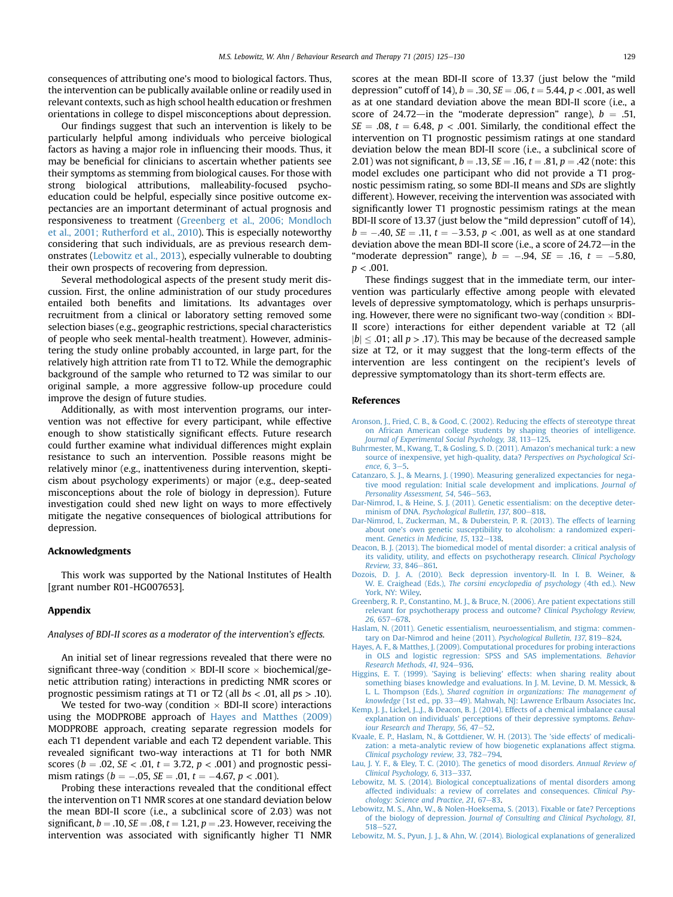<span id="page-4-0"></span>consequences of attributing one's mood to biological factors. Thus, the intervention can be publically available online or readily used in relevant contexts, such as high school health education or freshmen orientations in college to dispel misconceptions about depression.

Our findings suggest that such an intervention is likely to be particularly helpful among individuals who perceive biological factors as having a major role in influencing their moods. Thus, it may be beneficial for clinicians to ascertain whether patients see their symptoms as stemming from biological causes. For those with strong biological attributions, malleability-focused psychoeducation could be helpful, especially since positive outcome expectancies are an important determinant of actual prognosis and responsiveness to treatment (Greenberg et al., 2006; Mondloch et al., 2001; Rutherford et al., 2010). This is especially noteworthy considering that such individuals, are as previous research demonstrates (Lebowitz et al., 2013), especially vulnerable to doubting their own prospects of recovering from depression.

Several methodological aspects of the present study merit discussion. First, the online administration of our study procedures entailed both benefits and limitations. Its advantages over recruitment from a clinical or laboratory setting removed some selection biases (e.g., geographic restrictions, special characteristics of people who seek mental-health treatment). However, administering the study online probably accounted, in large part, for the relatively high attrition rate from T1 to T2. While the demographic background of the sample who returned to T2 was similar to our original sample, a more aggressive follow-up procedure could improve the design of future studies.

Additionally, as with most intervention programs, our intervention was not effective for every participant, while effective enough to show statistically significant effects. Future research could further examine what individual differences might explain resistance to such an intervention. Possible reasons might be relatively minor (e.g., inattentiveness during intervention, skepticism about psychology experiments) or major (e.g., deep-seated misconceptions about the role of biology in depression). Future investigation could shed new light on ways to more effectively mitigate the negative consequences of biological attributions for depression.

## Acknowledgments

This work was supported by the National Institutes of Health [grant number R01-HG007653].

## Appendix

## Analyses of BDI-II scores as a moderator of the intervention's effects.

An initial set of linear regressions revealed that there were no significant three-way (condition  $\times$  BDI-II score  $\times$  biochemical/genetic attribution rating) interactions in predicting NMR scores or prognostic pessimism ratings at T1 or T2 (all  $bs < .01$ , all  $ps > .10$ ).

We tested for two-way (condition  $\times$  BDI-II score) interactions using the MODPROBE approach of Hayes and Matthes (2009) MODPROBE approach, creating separate regression models for each T1 dependent variable and each T2 dependent variable. This revealed significant two-way interactions at T1 for both NMR scores ( $b = .02$ ,  $SE < .01$ ,  $t = 3.72$ ,  $p < .001$ ) and prognostic pessimism ratings ( $b = -.05$ ,  $SE = .01$ ,  $t = -4.67$ ,  $p < .001$ ).

Probing these interactions revealed that the conditional effect the intervention on T1 NMR scores at one standard deviation below the mean BDI-II score (i.e., a subclinical score of 2.03) was not significant,  $b = .10$ ,  $SE = .08$ ,  $t = 1.21$ ,  $p = .23$ . However, receiving the intervention was associated with significantly higher T1 NMR scores at the mean BDI-II score of 13.37 (just below the "mild depression" cutoff of 14),  $b = .30$ ,  $SE = .06$ ,  $t = 5.44$ ,  $p < .001$ , as well as at one standard deviation above the mean BDI-II score (i.e., a score of 24.72-in the "moderate depression" range),  $b = .51$ ,  $SE = .08$ ,  $t = 6.48$ ,  $p < .001$ . Similarly, the conditional effect the intervention on T1 prognostic pessimism ratings at one standard deviation below the mean BDI-II score (i.e., a subclinical score of 2.01) was not significant,  $b = .13$ ,  $SE = .16$ ,  $t = .81$ ,  $p = .42$  (note: this model excludes one participant who did not provide a T1 prognostic pessimism rating, so some BDI-II means and SDs are slightly different). However, receiving the intervention was associated with significantly lower T1 prognostic pessimism ratings at the mean BDI-II score of 13.37 (just below the "mild depression" cutoff of 14),  $b = -.40$ ,  $SE = .11$ ,  $t = -3.53$ ,  $p < .001$ , as well as at one standard deviation above the mean BDI-II score (i.e., a score of  $24.72$ —in the "moderate depression" range),  $b = -.94$ ,  $SE = .16$ ,  $t = -5.80$ ,  $p < .001$ .

These findings suggest that in the immediate term, our intervention was particularly effective among people with elevated levels of depressive symptomatology, which is perhaps unsurprising. However, there were no significant two-way (condition  $\times$  BDI-II score) interactions for either dependent variable at T2 (all  $|b| \leq .01$ ; all  $p > .17$ ). This may be because of the decreased sample size at T2, or it may suggest that the long-term effects of the intervention are less contingent on the recipient's levels of depressive symptomatology than its short-term effects are.

## References

- [Aronson, J., Fried, C. B., & Good, C. \(2002\). Reducing the effects of stereotype threat](http://refhub.elsevier.com/S0005-7967(15)00104-7/sref1) [on African American college students by shaping theories of intelligence.](http://refhub.elsevier.com/S0005-7967(15)00104-7/sref1) [Journal of Experimental Social Psychology, 38](http://refhub.elsevier.com/S0005-7967(15)00104-7/sref1), 113-[125.](http://refhub.elsevier.com/S0005-7967(15)00104-7/sref1)
- [Buhrmester, M., Kwang, T., & Gosling, S. D. \(2011\). Amazon's mechanical turk: a new](http://refhub.elsevier.com/S0005-7967(15)00104-7/sref2) [source of inexpensive, yet high-quality, data?](http://refhub.elsevier.com/S0005-7967(15)00104-7/sref2) Perspectives on Psychological Science,  $6, 3-5.$  $6, 3-5.$  $6, 3-5.$
- [Catanzaro, S. J., & Mearns, J. \(1990\). Measuring generalized expectancies for nega](http://refhub.elsevier.com/S0005-7967(15)00104-7/sref3)[tive mood regulation: Initial scale development and implications.](http://refhub.elsevier.com/S0005-7967(15)00104-7/sref3) Journal of [Personality Assessment, 54](http://refhub.elsevier.com/S0005-7967(15)00104-7/sref3), 546-[563](http://refhub.elsevier.com/S0005-7967(15)00104-7/sref3).
- [Dar-Nimrod, I., & Heine, S. J. \(2011\). Genetic essentialism: on the deceptive deter-](http://refhub.elsevier.com/S0005-7967(15)00104-7/sref4)minism of DNA. [Psychological Bulletin, 137](http://refhub.elsevier.com/S0005-7967(15)00104-7/sref4), 800-[818.](http://refhub.elsevier.com/S0005-7967(15)00104-7/sref4)
- [Dar-Nimrod, I., Zuckerman, M., & Duberstein, P. R. \(2013\). The effects of learning](http://refhub.elsevier.com/S0005-7967(15)00104-7/sref5) [about one's own genetic susceptibility to alcoholism: a randomized experi](http://refhub.elsevier.com/S0005-7967(15)00104-7/sref5)ment. Genetics in Medicine,  $15.132-138$ .
- [Deacon, B. J. \(2013\). The biomedical model of mental disorder: a critical analysis of](http://refhub.elsevier.com/S0005-7967(15)00104-7/sref6) [its validity, utility, and effects on psychotherapy research.](http://refhub.elsevier.com/S0005-7967(15)00104-7/sref6) Clinical Psychology [Review, 33](http://refhub.elsevier.com/S0005-7967(15)00104-7/sref6), 846-[861.](http://refhub.elsevier.com/S0005-7967(15)00104-7/sref6)
- [Dozois, D. J. A. \(2010\). Beck depression inventory-II. In I. B. Weiner, &](http://refhub.elsevier.com/S0005-7967(15)00104-7/sref7) W. E. Craighead (Eds.), [The corsini encyclopedia of psychology](http://refhub.elsevier.com/S0005-7967(15)00104-7/sref7) (4th ed.). New [York, NY: Wiley.](http://refhub.elsevier.com/S0005-7967(15)00104-7/sref7)
- [Greenberg, R. P., Constantino, M. J., & Bruce, N. \(2006\). Are patient expectations still](http://refhub.elsevier.com/S0005-7967(15)00104-7/sref8) [relevant for psychotherapy process and outcome?](http://refhub.elsevier.com/S0005-7967(15)00104-7/sref8) Clinical Psychology Review,  $26.657 - 678.$  $26.657 - 678.$
- [Haslam, N. \(2011\). Genetic essentialism, neuroessentialism, and stigma: commen](http://refhub.elsevier.com/S0005-7967(15)00104-7/sref9)[tary on Dar-Nimrod and heine \(2011\).](http://refhub.elsevier.com/S0005-7967(15)00104-7/sref9) Psychological Bulletin, 137, 819-[824.](http://refhub.elsevier.com/S0005-7967(15)00104-7/sref9)
- [Hayes, A. F., & Matthes, J. \(2009\). Computational procedures for probing interactions](http://refhub.elsevier.com/S0005-7967(15)00104-7/sref10) [in OLS and logistic regression: SPSS and SAS implementations.](http://refhub.elsevier.com/S0005-7967(15)00104-7/sref10) Behavior [Research Methods, 41](http://refhub.elsevier.com/S0005-7967(15)00104-7/sref10), 924-[936.](http://refhub.elsevier.com/S0005-7967(15)00104-7/sref10)
- [Higgins, E. T. \(1999\). 'Saying is believing' effects: when sharing reality about](http://refhub.elsevier.com/S0005-7967(15)00104-7/sref11) [something biases knowledge and evaluations. In J. M. Levine, D. M. Messick, &](http://refhub.elsevier.com/S0005-7967(15)00104-7/sref11) L. L. Thompson (Eds.), [Shared cognition in organizations: The management of](http://refhub.elsevier.com/S0005-7967(15)00104-7/sref11) knowledge [\(1st ed., pp. 33](http://refhub.elsevier.com/S0005-7967(15)00104-7/sref11)-[49\). Mahwah, NJ: Lawrence Erlbaum Associates Inc](http://refhub.elsevier.com/S0005-7967(15)00104-7/sref11).
- [Kemp, J. J., Lickel, J..,J., & Deacon, B. J. \(2014\). Effects of a chemical imbalance causal](http://refhub.elsevier.com/S0005-7967(15)00104-7/sref12) [explanation on individuals' perceptions of their depressive symptoms.](http://refhub.elsevier.com/S0005-7967(15)00104-7/sref12) Behav[iour Research and Therapy, 56](http://refhub.elsevier.com/S0005-7967(15)00104-7/sref12), 47-[52](http://refhub.elsevier.com/S0005-7967(15)00104-7/sref12).
- [Kvaale, E. P., Haslam, N., & Gottdiener, W. H. \(2013\). The 'side effects' of medicali](http://refhub.elsevier.com/S0005-7967(15)00104-7/sref13)[zation: a meta-analytic review of how biogenetic explanations affect stigma.](http://refhub.elsevier.com/S0005-7967(15)00104-7/sref13) [Clinical psychology review, 33](http://refhub.elsevier.com/S0005-7967(15)00104-7/sref13), 782-[794.](http://refhub.elsevier.com/S0005-7967(15)00104-7/sref13)
- [Lau, J. Y. F., & Eley, T. C. \(2010\). The genetics of mood disorders.](http://refhub.elsevier.com/S0005-7967(15)00104-7/sref14) Annual Review of [Clinical Psychology, 6](http://refhub.elsevier.com/S0005-7967(15)00104-7/sref14), 313-[337.](http://refhub.elsevier.com/S0005-7967(15)00104-7/sref14)
- [Lebowitz, M. S. \(2014\). Biological conceptualizations of mental disorders among](http://refhub.elsevier.com/S0005-7967(15)00104-7/sref15) [affected individuals: a review of correlates and consequences.](http://refhub.elsevier.com/S0005-7967(15)00104-7/sref15) Clinical Psy[chology: Science and Practice, 21](http://refhub.elsevier.com/S0005-7967(15)00104-7/sref15), 67-[83](http://refhub.elsevier.com/S0005-7967(15)00104-7/sref15).
- [Lebowitz, M. S., Ahn, W., & Nolen-Hoeksema, S. \(2013\). Fixable or fate? Perceptions](http://refhub.elsevier.com/S0005-7967(15)00104-7/sref16) of the biology of depression. [Journal of Consulting and Clinical Psychology, 81](http://refhub.elsevier.com/S0005-7967(15)00104-7/sref16), [518](http://refhub.elsevier.com/S0005-7967(15)00104-7/sref16)-527
- [Lebowitz, M. S., Pyun, J. J., & Ahn, W. \(2014\). Biological explanations of generalized](http://refhub.elsevier.com/S0005-7967(15)00104-7/sref17)